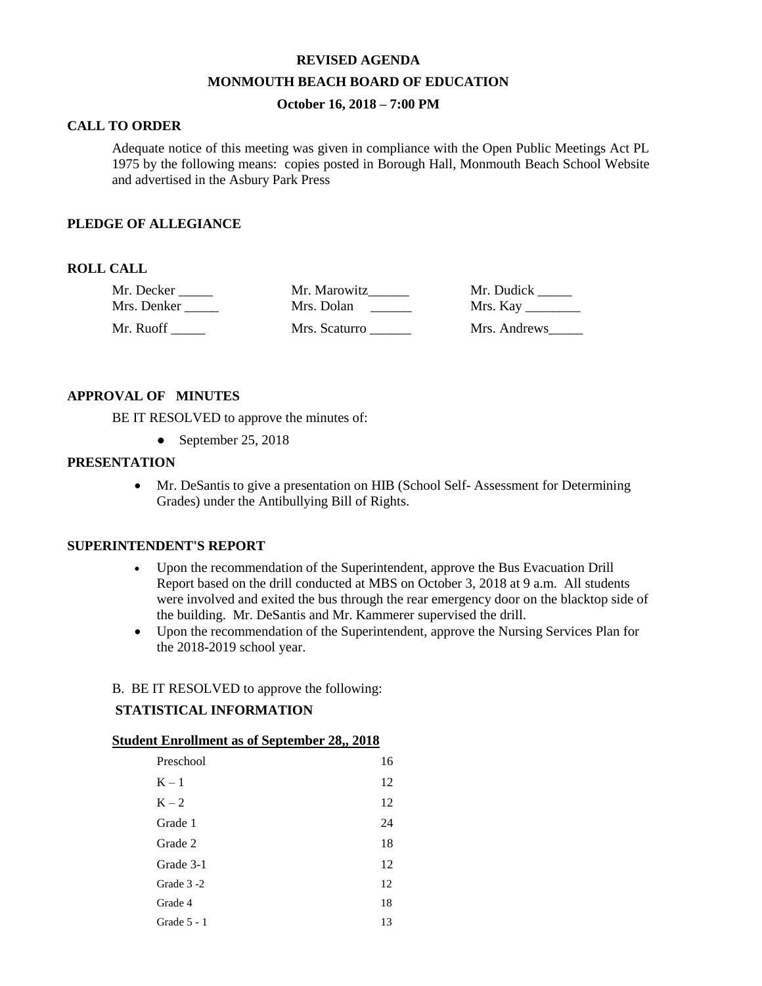## **REVISED AGENDA**

### **MONMOUTH BEACH BOARD OF EDUCATION**

## **October 16, 2018 – 7:00 PM**

## **CALL TO ORDER**

Adequate notice of this meeting was given in compliance with the Open Public Meetings Act PL 1975 by the following means: copies posted in Borough Hall, Monmouth Beach School Website and advertised in the Asbury Park Press

### **PLEDGE OF ALLEGIANCE**

### **ROLL CALL**

| Mr. Decker  | Mr. Marowitz  | Mr. Dudick   |
|-------------|---------------|--------------|
| Mrs. Denker | Mrs. Dolan    |              |
| Mr. Ruoff-  | Mrs. Scaturro | Mrs. Andrews |

#### **APPROVAL OF MINUTES**

BE IT RESOLVED to approve the minutes of:

• September 25, 2018

## **PRESENTATION**

 Mr. DeSantis to give a presentation on HIB (School Self- Assessment for Determining Grades) under the Antibullying Bill of Rights.

## **SUPERINTENDENT'S REPORT**

- Upon the recommendation of the Superintendent, approve the Bus Evacuation Drill Report based on the drill conducted at MBS on October 3, 2018 at 9 a.m. All students were involved and exited the bus through the rear emergency door on the blacktop side of the building. Mr. DeSantis and Mr. Kammerer supervised the drill.
- Upon the recommendation of the Superintendent, approve the Nursing Services Plan for the 2018-2019 school year.

## B. BE IT RESOLVED to approve the following:

#### **STATISTICAL INFORMATION**

### **Student Enrollment as of September 28,, 2018**

| Preschool     | 16 |
|---------------|----|
| $K-1$         | 12 |
| $K - 2$       | 12 |
| Grade 1       | 24 |
| Grade 2       | 18 |
| Grade 3-1     | 12 |
| Grade 3-2     | 12 |
| Grade 4       | 18 |
| Grade $5 - 1$ | 13 |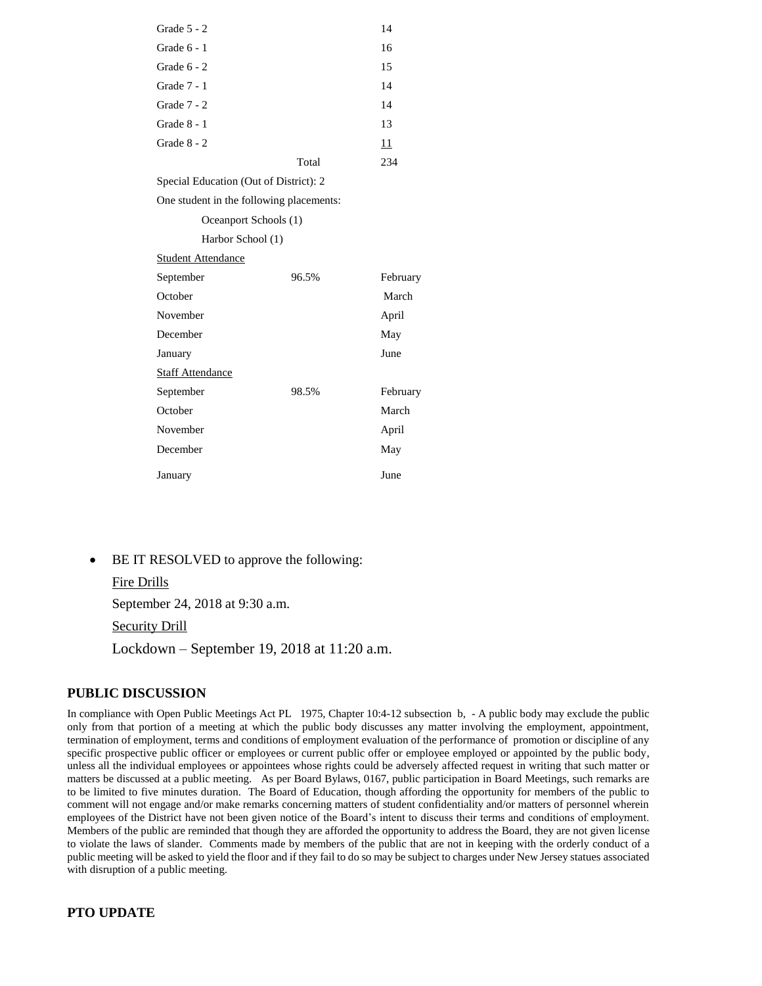| Grade $5 - 2$                            |       | 14       |
|------------------------------------------|-------|----------|
| Grade 6 - 1                              |       | 16       |
| Grade $6 - 2$                            |       | 15       |
| Grade $7 - 1$                            |       | 14       |
| Grade $7 - 2$                            |       | 14       |
| Grade 8 - 1                              |       | 13       |
| Grade 8 - 2                              |       | 11       |
|                                          | Total | 234      |
| Special Education (Out of District): 2   |       |          |
| One student in the following placements: |       |          |
| Oceanport Schools (1)                    |       |          |
| Harbor School (1)                        |       |          |
| <b>Student Attendance</b>                |       |          |
| September                                | 96.5% | February |
| October                                  |       | March    |
| November                                 |       | April    |
| December                                 |       | May      |
| January                                  |       | June     |
| <b>Staff Attendance</b>                  |       |          |
| September                                | 98.5% | February |
| October                                  |       | March    |

November April December May

**January** June

BE IT RESOLVED to approve the following:

### Fire Drills

September 24, 2018 at 9:30 a.m.

# Security Drill

Lockdown – September 19, 2018 at 11:20 a.m.

#### **PUBLIC DISCUSSION**

In compliance with Open Public Meetings Act PL 1975, Chapter 10:4-12 subsection b, - A public body may exclude the public only from that portion of a meeting at which the public body discusses any matter involving the employment, appointment, termination of employment, terms and conditions of employment evaluation of the performance of promotion or discipline of any specific prospective public officer or employees or current public offer or employee employed or appointed by the public body, unless all the individual employees or appointees whose rights could be adversely affected request in writing that such matter or matters be discussed at a public meeting. As per Board Bylaws, 0167, public participation in Board Meetings, such remarks are to be limited to five minutes duration. The Board of Education, though affording the opportunity for members of the public to comment will not engage and/or make remarks concerning matters of student confidentiality and/or matters of personnel wherein employees of the District have not been given notice of the Board's intent to discuss their terms and conditions of employment. Members of the public are reminded that though they are afforded the opportunity to address the Board, they are not given license to violate the laws of slander. Comments made by members of the public that are not in keeping with the orderly conduct of a public meeting will be asked to yield the floor and if they fail to do so may be subject to charges under New Jersey statues associated with disruption of a public meeting.

#### **PTO UPDATE**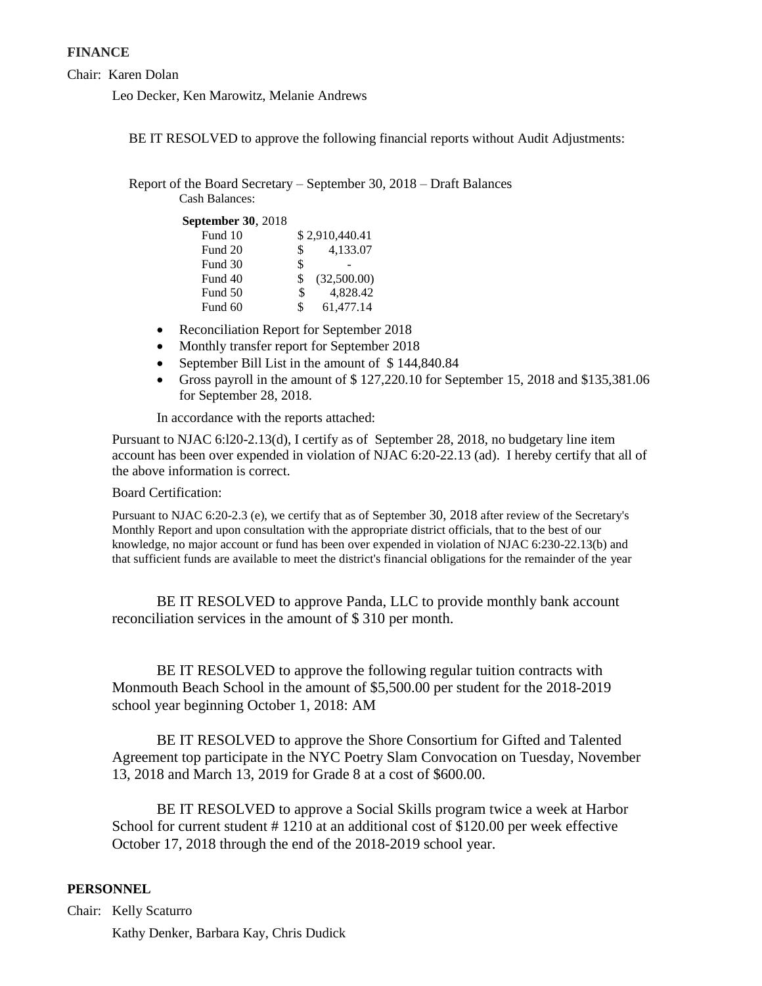## **FINANCE**

Chair: Karen Dolan

Leo Decker, Ken Marowitz, Melanie Andrews

BE IT RESOLVED to approve the following financial reports without Audit Adjustments:

Report of the Board Secretary – September 30, 2018 – Draft Balances Cash Balances:

**September 30**, 2018

| Fund 10 |     | \$2,910,440.41 |
|---------|-----|----------------|
| Fund 20 | \$. | 4,133.07       |
| Fund 30 | \$  |                |
| Fund 40 | \$. | (32,500.00)    |
| Fund 50 | \$  | 4.828.42       |
| Fund 60 | \$  | 61,477.14      |

- Reconciliation Report for September 2018
- Monthly transfer report for September 2018
- September Bill List in the amount of \$144,840.84
- Gross payroll in the amount of \$ 127,220.10 for September 15, 2018 and \$135,381.06 for September 28, 2018.

In accordance with the reports attached:

Pursuant to NJAC 6:l20-2.13(d), I certify as of September 28, 2018, no budgetary line item account has been over expended in violation of NJAC 6:20-22.13 (ad). I hereby certify that all of the above information is correct.

Board Certification:

Pursuant to NJAC 6:20-2.3 (e), we certify that as of September 30, 2018 after review of the Secretary's Monthly Report and upon consultation with the appropriate district officials, that to the best of our knowledge, no major account or fund has been over expended in violation of NJAC 6:230-22.13(b) and that sufficient funds are available to meet the district's financial obligations for the remainder of the year.

BE IT RESOLVED to approve Panda, LLC to provide monthly bank account reconciliation services in the amount of \$ 310 per month.

BE IT RESOLVED to approve the following regular tuition contracts with Monmouth Beach School in the amount of \$5,500.00 per student for the 2018-2019 school year beginning October 1, 2018: AM

BE IT RESOLVED to approve the Shore Consortium for Gifted and Talented Agreement top participate in the NYC Poetry Slam Convocation on Tuesday, November 13, 2018 and March 13, 2019 for Grade 8 at a cost of \$600.00.

BE IT RESOLVED to approve a Social Skills program twice a week at Harbor School for current student # 1210 at an additional cost of \$120.00 per week effective October 17, 2018 through the end of the 2018-2019 school year.

# **PERSONNEL**

Chair: Kelly Scaturro Kathy Denker, Barbara Kay, Chris Dudick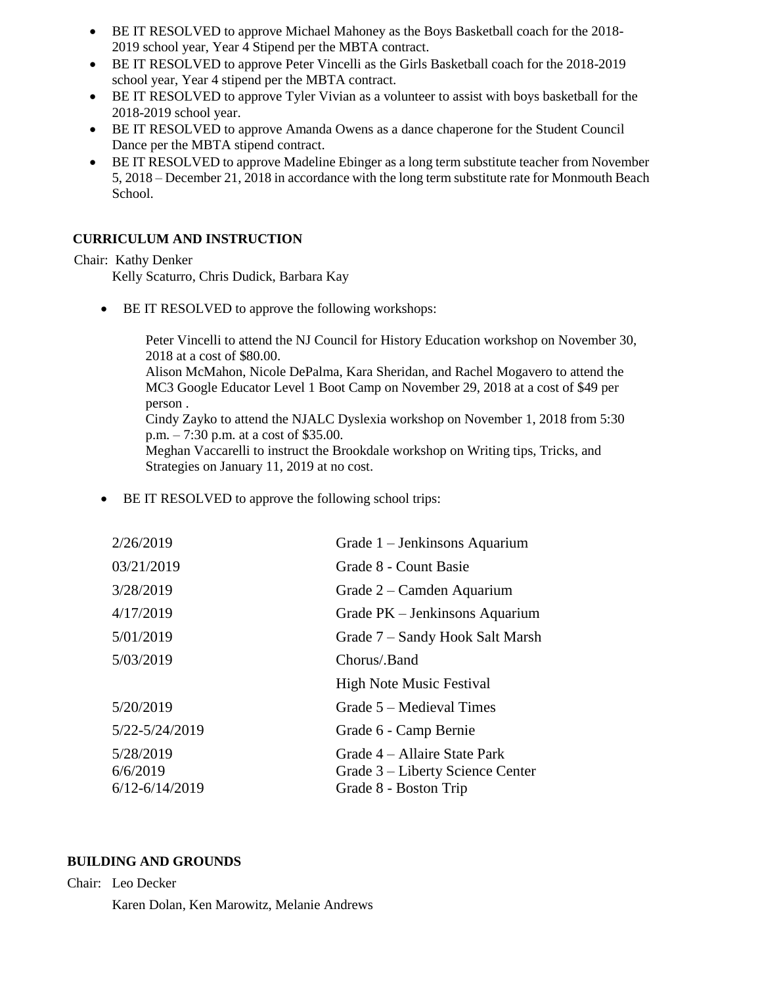- BE IT RESOLVED to approve Michael Mahoney as the Boys Basketball coach for the 2018- 2019 school year, Year 4 Stipend per the MBTA contract.
- BE IT RESOLVED to approve Peter Vincelli as the Girls Basketball coach for the 2018-2019 school year, Year 4 stipend per the MBTA contract.
- BE IT RESOLVED to approve Tyler Vivian as a volunteer to assist with boys basketball for the 2018-2019 school year.
- BE IT RESOLVED to approve Amanda Owens as a dance chaperone for the Student Council Dance per the MBTA stipend contract.
- BE IT RESOLVED to approve Madeline Ebinger as a long term substitute teacher from November 5, 2018 – December 21, 2018 in accordance with the long term substitute rate for Monmouth Beach School.

# **CURRICULUM AND INSTRUCTION**

# Chair: Kathy Denker

Kelly Scaturro, Chris Dudick, Barbara Kay

• BE IT RESOLVED to approve the following workshops:

Peter Vincelli to attend the NJ Council for History Education workshop on November 30, 2018 at a cost of \$80.00. Alison McMahon, Nicole DePalma, Kara Sheridan, and Rachel Mogavero to attend the MC3 Google Educator Level 1 Boot Camp on November 29, 2018 at a cost of \$49 per person . Cindy Zayko to attend the NJALC Dyslexia workshop on November 1, 2018 from 5:30 p.m. – 7:30 p.m. at a cost of \$35.00. Meghan Vaccarelli to instruct the Brookdale workshop on Writing tips, Tricks, and Strategies on January 11, 2019 at no cost.

BE IT RESOLVED to approve the following school trips:

| 2/26/2019                                   | Grade 1 – Jenkinsons Aquarium                                                             |
|---------------------------------------------|-------------------------------------------------------------------------------------------|
| 03/21/2019                                  | Grade 8 - Count Basie                                                                     |
| 3/28/2019                                   | Grade 2 – Camden Aquarium                                                                 |
| 4/17/2019                                   | Grade PK – Jenkinsons Aquarium                                                            |
| 5/01/2019                                   | Grade 7 – Sandy Hook Salt Marsh                                                           |
| 5/03/2019                                   | Chorus/.Band                                                                              |
|                                             | <b>High Note Music Festival</b>                                                           |
| 5/20/2019                                   | Grade 5 – Medieval Times                                                                  |
| 5/22-5/24/2019                              | Grade 6 - Camp Bernie                                                                     |
| 5/28/2019<br>6/6/2019<br>$6/12 - 6/14/2019$ | Grade 4 – Allaire State Park<br>Grade 3 – Liberty Science Center<br>Grade 8 - Boston Trip |
|                                             |                                                                                           |

# **BUILDING AND GROUNDS**

Chair: Leo Decker Karen Dolan, Ken Marowitz, Melanie Andrews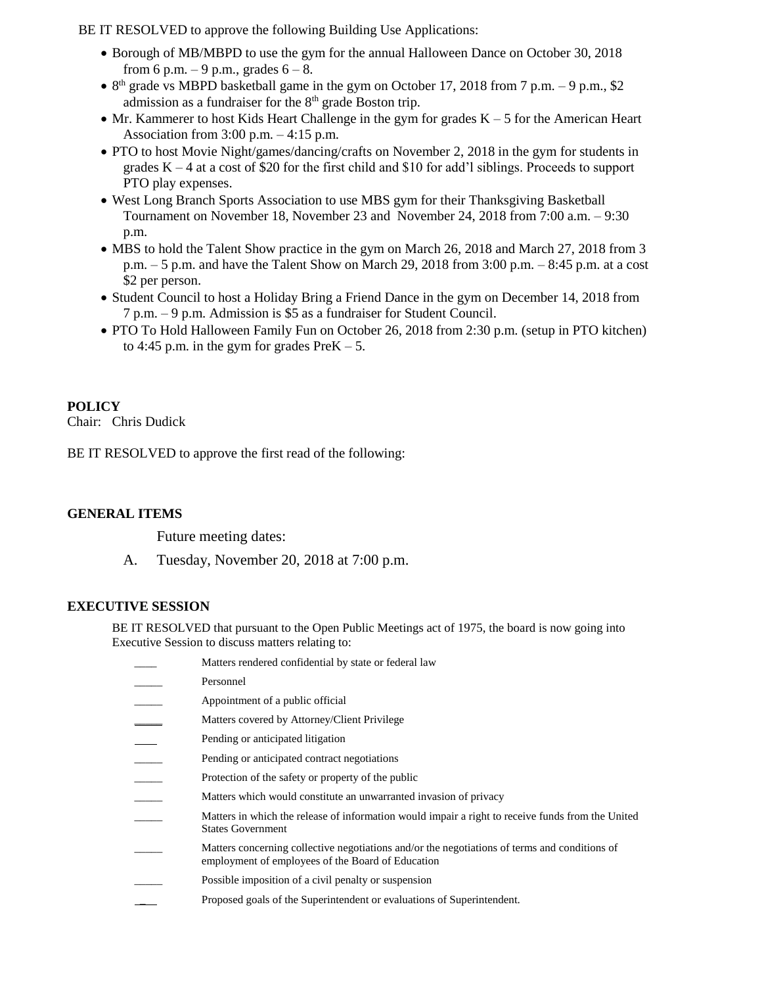BE IT RESOLVED to approve the following Building Use Applications:

- Borough of MB/MBPD to use the gym for the annual Halloween Dance on October 30, 2018 from 6 p.m. – 9 p.m., grades  $6 - 8$ .
- $8<sup>th</sup>$  grade vs MBPD basketball game in the gym on October 17, 2018 from 7 p.m. 9 p.m., \$2 admission as a fundraiser for the 8<sup>th</sup> grade Boston trip.
- $\bullet$  Mr. Kammerer to host Kids Heart Challenge in the gym for grades  $K 5$  for the American Heart Association from 3:00 p.m. – 4:15 p.m.
- PTO to host Movie Night/games/dancing/crafts on November 2, 2018 in the gym for students in grades  $K - 4$  at a cost of \$20 for the first child and \$10 for add'l siblings. Proceeds to support PTO play expenses.
- West Long Branch Sports Association to use MBS gym for their Thanksgiving Basketball Tournament on November 18, November 23 and November 24, 2018 from 7:00 a.m. – 9:30 p.m.
- MBS to hold the Talent Show practice in the gym on March 26, 2018 and March 27, 2018 from 3 p.m.  $-5$  p.m. and have the Talent Show on March 29, 2018 from 3:00 p.m.  $-8:45$  p.m. at a cost \$2 per person.
- Student Council to host a Holiday Bring a Friend Dance in the gym on December 14, 2018 from 7 p.m. – 9 p.m. Admission is \$5 as a fundraiser for Student Council.
- PTO To Hold Halloween Family Fun on October 26, 2018 from 2:30 p.m. (setup in PTO kitchen) to 4:45 p.m. in the gym for grades  $PreK - 5$ .

# **POLICY**

Chair: Chris Dudick

BE IT RESOLVED to approve the first read of the following:

# **GENERAL ITEMS**

Future meeting dates:

A. Tuesday, November 20, 2018 at 7:00 p.m.

# **EXECUTIVE SESSION**

BE IT RESOLVED that pursuant to the Open Public Meetings act of 1975, the board is now going into Executive Session to discuss matters relating to:

| Matters rendered confidential by state or federal law                                                                                              |
|----------------------------------------------------------------------------------------------------------------------------------------------------|
| Personnel                                                                                                                                          |
| Appointment of a public official                                                                                                                   |
| Matters covered by Attorney/Client Privilege                                                                                                       |
| Pending or anticipated litigation                                                                                                                  |
| Pending or anticipated contract negotiations                                                                                                       |
| Protection of the safety or property of the public                                                                                                 |
| Matters which would constitute an unwarranted invasion of privacy                                                                                  |
| Matters in which the release of information would impair a right to receive funds from the United<br><b>States Government</b>                      |
| Matters concerning collective negotiations and/or the negotiations of terms and conditions of<br>employment of employees of the Board of Education |
| Possible imposition of a civil penalty or suspension                                                                                               |
| Proposed goals of the Superintendent or evaluations of Superintendent.                                                                             |
|                                                                                                                                                    |